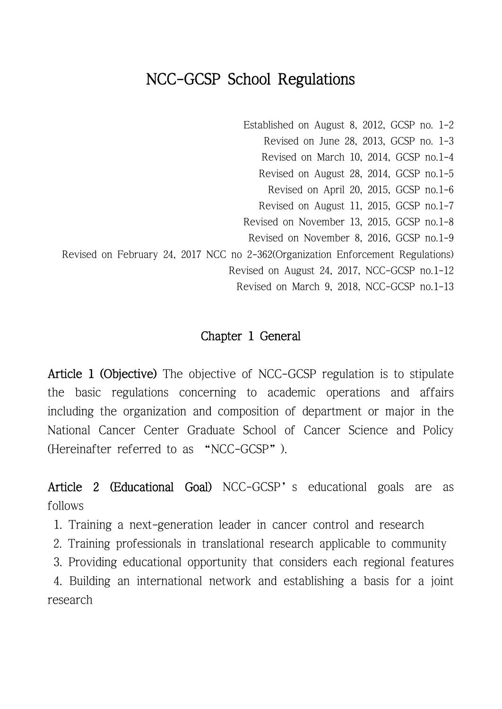# NCC-GCSP School Regulations

Established on August 8, 2012, GCSP no. 1-2 Revised on June 28, 2013, GCSP no. 1-3 Revised on March 10, 2014, GCSP no.1-4 Revised on August 28, 2014, GCSP no.1-5 Revised on April 20, 2015, GCSP no.1-6 Revised on August 11, 2015, GCSP no.1-7 Revised on November 13, 2015, GCSP no.1-8 Revised on November 8, 2016, GCSP no.1-9 Revised on February 24, 2017 NCC no 2-362(Organization Enforcement Regulations) Revised on August 24, 2017, NCC-GCSP no.1-12 Revised on March 9, 2018, NCC-GCSP no.1-13

### Chapter 1 General

Article 1 (Objective) The objective of NCC-GCSP regulation is to stipulate the basic regulations concerning to academic operations and affairs including the organization and composition of department or major in the National Cancer Center Graduate School of Cancer Science and Policy (Hereinafter referred to as "NCC-GCSP").

Article 2 (Educational Goal) NCC-GCSP's educational goals are as follows

- 1. Training a next-generation leader in cancer control and research
- 2. Training professionals in translational research applicable to community
- 3. Providing educational opportunity that considers each regional features

4. Building an international network and establishing a basis for a joint research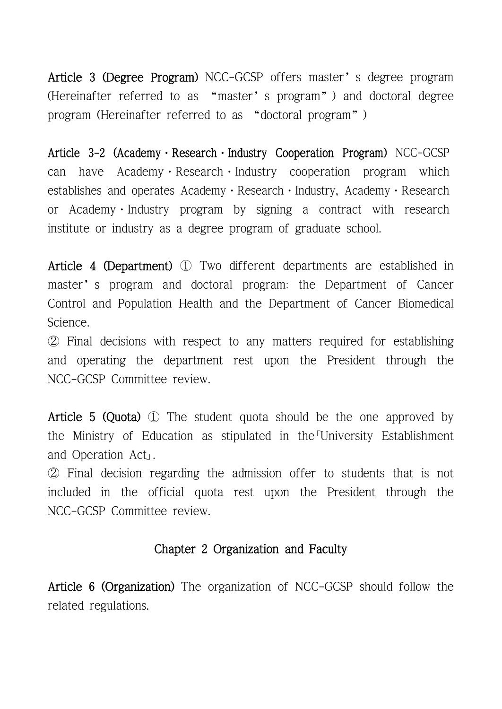Article 3 (Degree Program) NCC-GCSP offers master's degree program (Hereinafter referred to as "master's program") and doctoral degree program (Hereinafter referred to as "doctoral program")

Article 3-2 (Academy · Research · Industry Cooperation Program) NCC-GCSP can have Academy Research Industry cooperation program which establishes and operates Academy · Research · Industry, Academy · Research or Academy·Industry program by signing a contract with research institute or industry as a degree program of graduate school.

Article 4 (Department) ① Two different departments are established in master's program and doctoral program: the Department of Cancer Control and Population Health and the Department of Cancer Biomedical Science.

② Final decisions with respect to any matters required for establishing and operating the department rest upon the President through the NCC-GCSP Committee review.

Article 5 (Quota) ① The student quota should be the one approved by the Ministry of Education as stipulated in the「University Establishment

and Operation Act」.<br>② Final decision regarding the admission offer to students that is not included in the official quota rest upon the President through the NCC-GCSP Committee review.

### Chapter 2 Organization and Faculty

Article 6 (Organization) The organization of NCC-GCSP should follow the related regulations.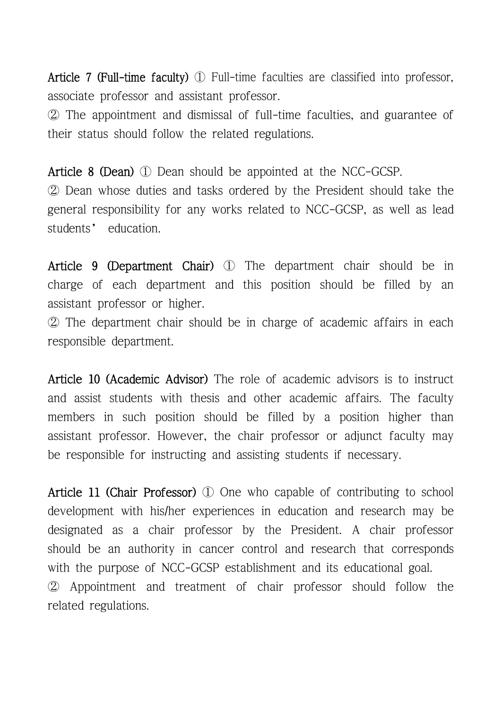Article 7 (Full-time faculty) ① Full-time faculties are classified into professor, associate professor and assistant professor.

② The appointment and dismissal of full-time faculties, and guarantee of their status should follow the related regulations.

Article 8 (Dean) ① Dean should be appointed at the NCC-GCSP. ② Dean whose duties and tasks ordered by the President should take the general responsibility for any works related to NCC-GCSP, as well as lead students' education.

Article 9 (Department Chair) ① The department chair should be in charge of each department and this position should be filled by an assistant professor or higher.

② The department chair should be in charge of academic affairs in each responsible department.

Article 10 (Academic Advisor) The role of academic advisors is to instruct and assist students with thesis and other academic affairs. The faculty members in such position should be filled by a position higher than assistant professor. However, the chair professor or adjunct faculty may be responsible for instructing and assisting students if necessary.

Article 11 (Chair Professor) ① One who capable of contributing to school development with his/her experiences in education and research may be designated as a chair professor by the President. A chair professor should be an authority in cancer control and research that corresponds with the purpose of NCC-GCSP establishment and its educational goal. ② Appointment and treatment of chair professor should follow the related regulations.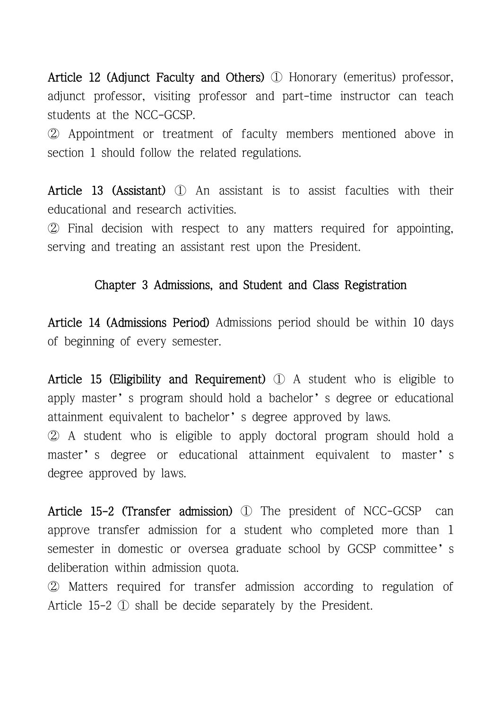Article 12 (Adjunct Faculty and Others) ① Honorary (emeritus) professor, adjunct professor, visiting professor and part-time instructor can teach students at the NCC-GCSP.

② Appointment or treatment of faculty members mentioned above in section 1 should follow the related regulations.

Article 13 (Assistant) ① An assistant is to assist faculties with their educational and research activities.

② Final decision with respect to any matters required for appointing, serving and treating an assistant rest upon the President.

#### Chapter 3 Admissions, and Student and Class Registration

Article 14 (Admissions Period) Admissions period should be within 10 days of beginning of every semester.

Article 15 (Eligibility and Requirement) ① A student who is eligible to apply master's program should hold a bachelor's degree or educational attainment equivalent to bachelor's degree approved by laws. ② A student who is eligible to apply doctoral program should hold a master's degree or educational attainment equivalent to master's degree approved by laws.

Article 15-2 (Transfer admission) ① The president of NCC-GCSP can approve transfer admission for a student who completed more than 1 semester in domestic or oversea graduate school by GCSP committee's deliberation within admission quota.

② Matters required for transfer admission according to regulation of Article 15-2 ① shall be decide separately by the President.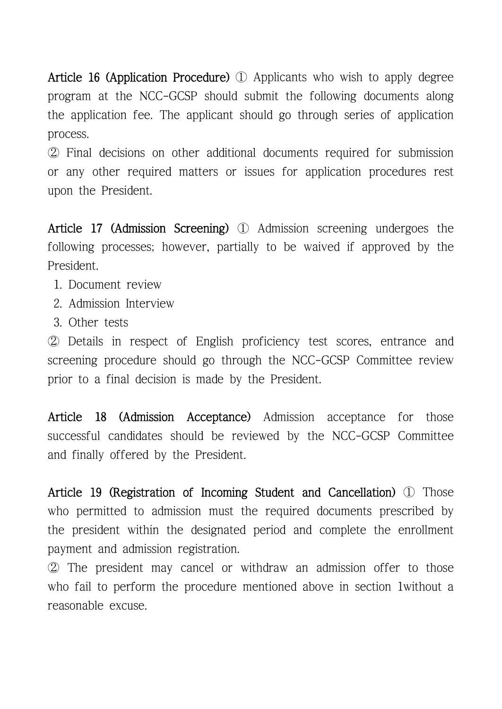Article 16 (Application Procedure) ① Applicants who wish to apply degree program at the NCC-GCSP should submit the following documents along the application fee. The applicant should go through series of application process.

② Final decisions on other additional documents required for submission or any other required matters or issues for application procedures rest upon the President.

Article 17 (Admission Screening) ① Admission screening undergoes the following processes; however, partially to be waived if approved by the President.

- 1. Document review
- 2. Admission Interview
- 3. Other tests

② Details in respect of English proficiency test scores, entrance and screening procedure should go through the NCC-GCSP Committee review prior to a final decision is made by the President.

Article 18 (Admission Acceptance) Admission acceptance for those successful candidates should be reviewed by the NCC-GCSP Committee and finally offered by the President.

Article 19 (Registration of Incoming Student and Cancellation) ① Those who permitted to admission must the required documents prescribed by the president within the designated period and complete the enrollment payment and admission registration.

② The president may cancel or withdraw an admission offer to those who fail to perform the procedure mentioned above in section 1without a reasonable excuse.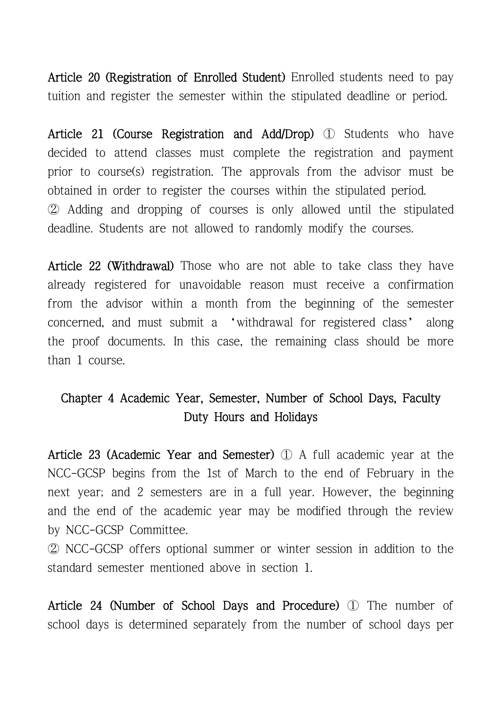Article 20 (Registration of Enrolled Student) Enrolled students need to pay tuition and register the semester within the stipulated deadline or period.

Article 21 (Course Registration and Add/Drop) ① Students who have decided to attend classes must complete the registration and payment prior to course(s) registration. The approvals from the advisor must be obtained in order to register the courses within the stipulated period. ② Adding and dropping of courses is only allowed until the stipulated deadline. Students are not allowed to randomly modify the courses.

Article 22 (Withdrawal) Those who are not able to take class they have already registered for unavoidable reason must receive a confirmation from the advisor within a month from the beginning of the semester concerned, and must submit a 'withdrawal for registered class' along the proof documents. In this case, the remaining class should be more than 1 course.

# Chapter 4 Academic Year, Semester, Number of School Days, Faculty Duty Hours and Holidays

Article 23 (Academic Year and Semester) ① A full academic year at the NCC-GCSP begins from the 1st of March to the end of February in the next year; and 2 semesters are in a full year. However, the beginning and the end of the academic year may be modified through the review by NCC-GCSP Committee.

② NCC-GCSP offers optional summer or winter session in addition to the standard semester mentioned above in section 1.

Article 24 (Number of School Days and Procedure) ① The number of school days is determined separately from the number of school days per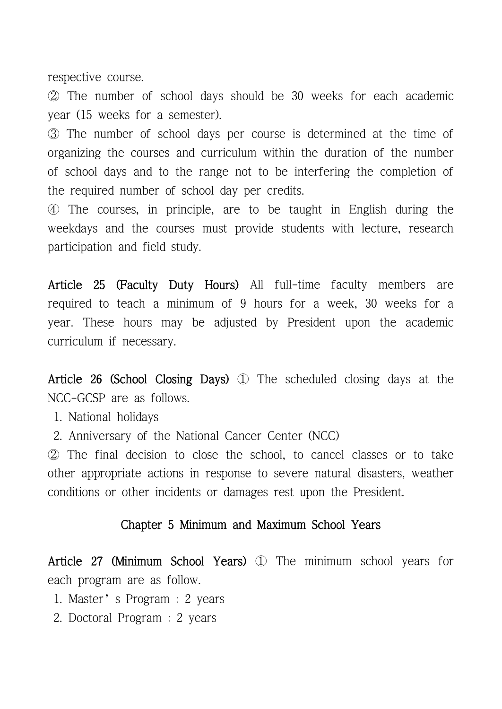respective course.

② The number of school days should be 30 weeks for each academic year (15 weeks for a semester).

③ The number of school days per course is determined at the time of organizing the courses and curriculum within the duration of the number of school days and to the range not to be interfering the completion of the required number of school day per credits.

④ The courses, in principle, are to be taught in English during the weekdays and the courses must provide students with lecture, research participation and field study.

Article 25 (Faculty Duty Hours) All full-time faculty members are required to teach a minimum of 9 hours for a week, 30 weeks for a year. These hours may be adjusted by President upon the academic curriculum if necessary.

Article 26 (School Closing Days) ① The scheduled closing days at the NCC-GCSP are as follows.

- 1. National holidays
- 2. Anniversary of the National Cancer Center (NCC)

② The final decision to close the school, to cancel classes or to take other appropriate actions in response to severe natural disasters, weather conditions or other incidents or damages rest upon the President.

#### Chapter 5 Minimum and Maximum School Years

Article 27 (Minimum School Years) ① The minimum school years for each program are as follow.

- 1. Master's Program : 2 years
- 2. Doctoral Program : 2 years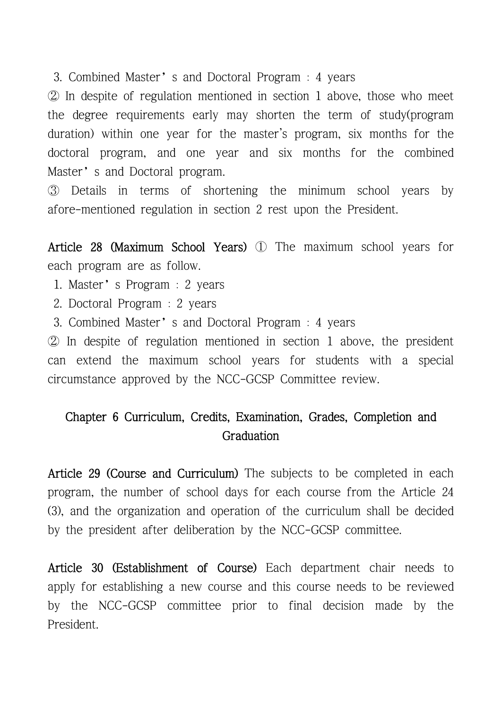3. Combined Master's and Doctoral Program : 4 years

② In despite of regulation mentioned in section 1 above, those who meet the degree requirements early may shorten the term of study(program duration) within one year for the master's program, six months for the doctoral program, and one year and six months for the combined Master's and Doctoral program.

③ Details in terms of shortening the minimum school years by afore-mentioned regulation in section 2 rest upon the President.

Article 28 (Maximum School Years) ① The maximum school years for each program are as follow.

1. Master's Program : 2 years

- 2. Doctoral Program : 2 years
- 3. Combined Master's and Doctoral Program : 4 years

② In despite of regulation mentioned in section 1 above, the president can extend the maximum school years for students with a special circumstance approved by the NCC-GCSP Committee review.

# Chapter 6 Curriculum, Credits, Examination, Grades, Completion and Graduation

Article 29 (Course and Curriculum) The subjects to be completed in each program, the number of school days for each course from the Article 24 (3), and the organization and operation of the curriculum shall be decided by the president after deliberation by the NCC-GCSP committee.

Article 30 (Establishment of Course) Each department chair needs to apply for establishing a new course and this course needs to be reviewed by the NCC-GCSP committee prior to final decision made by the President.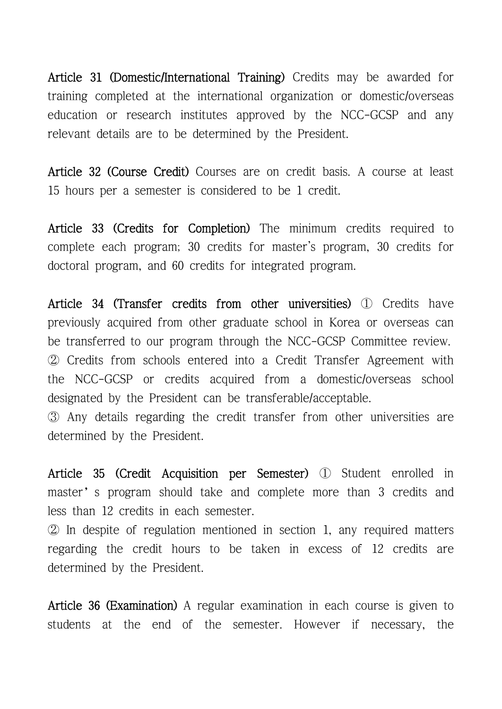Article 31 (Domestic/International Training) Credits may be awarded for training completed at the international organization or domestic/overseas education or research institutes approved by the NCC-GCSP and any relevant details are to be determined by the President.

Article 32 (Course Credit) Courses are on credit basis. A course at least 15 hours per a semester is considered to be 1 credit.

Article 33 (Credits for Completion) The minimum credits required to complete each program; 30 credits for master's program, 30 credits for doctoral program, and 60 credits for integrated program.

Article 34 (Transfer credits from other universities) 1 Credits have previously acquired from other graduate school in Korea or overseas can be transferred to our program through the NCC-GCSP Committee review. ② Credits from schools entered into a Credit Transfer Agreement with the NCC-GCSP or credits acquired from a domestic/overseas school designated by the President can be transferable/acceptable.

③ Any details regarding the credit transfer from other universities are determined by the President.

Article 35 (Credit Acquisition per Semester) ① Student enrolled in master's program should take and complete more than 3 credits and less than 12 credits in each semester.

② In despite of regulation mentioned in section 1, any required matters regarding the credit hours to be taken in excess of 12 credits are determined by the President.

Article 36 (Examination) A regular examination in each course is given to students at the end of the semester. However if necessary, the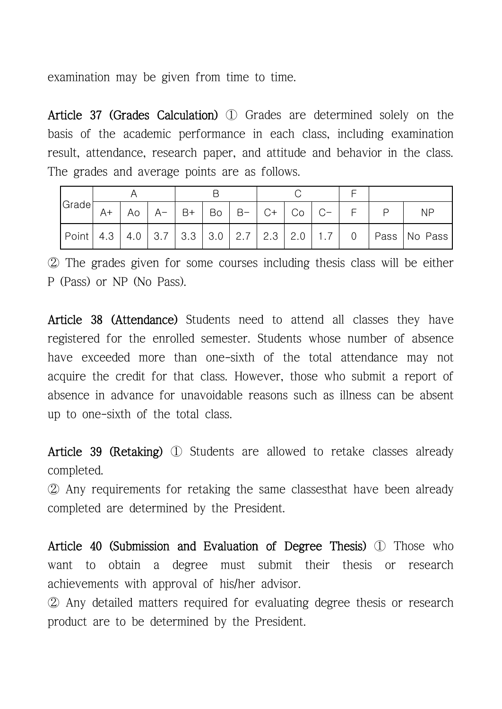examination may be given from time to time.

Article 37 (Grades Calculation) ① Grades are determined solely on the basis of the academic performance in each class, including examination result, attendance, research paper, and attitude and behavior in the class. The grades and average points are as follows.

| Grade       |      |    |             |                   |  |                             |  |            |                                   |  |                  |
|-------------|------|----|-------------|-------------------|--|-----------------------------|--|------------|-----------------------------------|--|------------------|
|             | $A+$ | Ao | $A-$        | $\overline{B}$ B+ |  | $Bo \mid B - \mid C + \mid$ |  | $ $ Co $ $ | $C = 1$                           |  | <b>NP</b>        |
| Point   4.3 |      |    | $4.0$   3.7 |                   |  |                             |  |            | 3.3   3.0   2.7   2.3   2.0   1.7 |  | 0 Pass   No Pass |

② The grades given for some courses including thesis class will be either P (Pass) or NP (No Pass).

Article 38 (Attendance) Students need to attend all classes they have registered for the enrolled semester. Students whose number of absence have exceeded more than one-sixth of the total attendance may not acquire the credit for that class. However, those who submit a report of absence in advance for unavoidable reasons such as illness can be absent up to one-sixth of the total class.

Article 39 (Retaking) ① Students are allowed to retake classes already completed.

② Any requirements for retaking the same classesthat have been already completed are determined by the President.

Article 40 (Submission and Evaluation of Degree Thesis) ① Those who want to obtain a degree must submit their thesis or research achievements with approval of his/her advisor.

② Any detailed matters required for evaluating degree thesis or research product are to be determined by the President.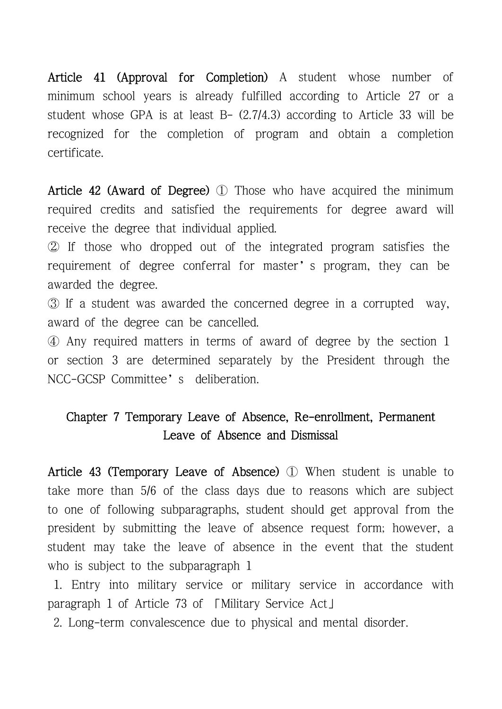Article 41 (Approval for Completion) A student whose number of minimum school years is already fulfilled according to Article 27 or a student whose GPA is at least  $B - (2.7/4.3)$  according to Article 33 will be recognized for the completion of program and obtain a completion certificate.

Article 42 (Award of Degree) ① Those who have acquired the minimum required credits and satisfied the requirements for degree award will receive the degree that individual applied.

② If those who dropped out of the integrated program satisfies the requirement of degree conferral for master's program, they can be awarded the degree.

③ If a student was awarded the concerned degree in a corrupted way, award of the degree can be cancelled.

④ Any required matters in terms of award of degree by the section 1 or section 3 are determined separately by the President through the NCC-GCSP Committee's deliberation.

# Chapter 7 Temporary Leave of Absence, Re-enrollment, Permanent Leave of Absence and Dismissal

Article 43 (Temporary Leave of Absence) ① When student is unable to take more than 5/6 of the class days due to reasons which are subject to one of following subparagraphs, student should get approval from the president by submitting the leave of absence request form; however, a student may take the leave of absence in the event that the student who is subject to the subparagraph 1

1. Entry into military service or military service in accordance with paragraph 1 of Article 73 of 「Military Service Act」

2. Long-term convalescence due to physical and mental disorder.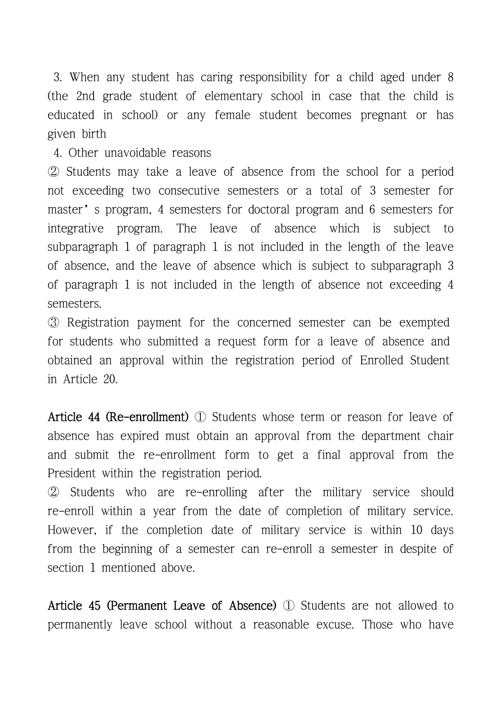3. When any student has caring responsibility for a child aged under 8 (the 2nd grade student of elementary school in case that the child is educated in school) or any female student becomes pregnant or has given birth

4. Other unavoidable reasons

② Students may take a leave of absence from the school for a period not exceeding two consecutive semesters or a total of 3 semester for master's program, 4 semesters for doctoral program and 6 semesters for integrative program. The leave of absence which is subject to subparagraph 1 of paragraph 1 is not included in the length of the leave of absence, and the leave of absence which is subject to subparagraph 3 of paragraph 1 is not included in the length of absence not exceeding 4 semesters.

③ Registration payment for the concerned semester can be exempted for students who submitted a request form for a leave of absence and obtained an approval within the registration period of Enrolled Student in Article 20.

Article 44 (Re-enrollment) ① Students whose term or reason for leave of absence has expired must obtain an approval from the department chair and submit the re-enrollment form to get a final approval from the President within the registration period.

② Students who are re-enrolling after the military service should re-enroll within a year from the date of completion of military service. However, if the completion date of military service is within 10 days from the beginning of a semester can re-enroll a semester in despite of section 1 mentioned above.

Article 45 (Permanent Leave of Absence) ① Students are not allowed to permanently leave school without a reasonable excuse. Those who have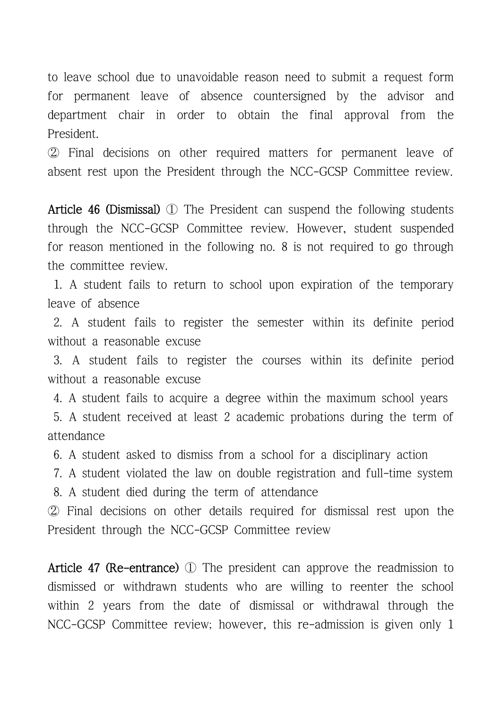to leave school due to unavoidable reason need to submit a request form for permanent leave of absence countersigned by the advisor and department chair in order to obtain the final approval from the President.

② Final decisions on other required matters for permanent leave of absent rest upon the President through the NCC-GCSP Committee review.

Article 46 (Dismissal) ① The President can suspend the following students through the NCC-GCSP Committee review. However, student suspended for reason mentioned in the following no. 8 is not required to go through the committee review.

1. A student fails to return to school upon expiration of the temporary leave of absence

2. A student fails to register the semester within its definite period without a reasonable excuse

3. A student fails to register the courses within its definite period without a reasonable excuse

4. A student fails to acquire a degree within the maximum school years

5. A student received at least 2 academic probations during the term of attendance

6. A student asked to dismiss from a school for a disciplinary action

7. A student violated the law on double registration and full-time system

8. A student died during the term of attendance

② Final decisions on other details required for dismissal rest upon the President through the NCC-GCSP Committee review

Article 47 (Re-entrance) ① The president can approve the readmission to dismissed or withdrawn students who are willing to reenter the school within 2 years from the date of dismissal or withdrawal through the NCC-GCSP Committee review; however, this re-admission is given only 1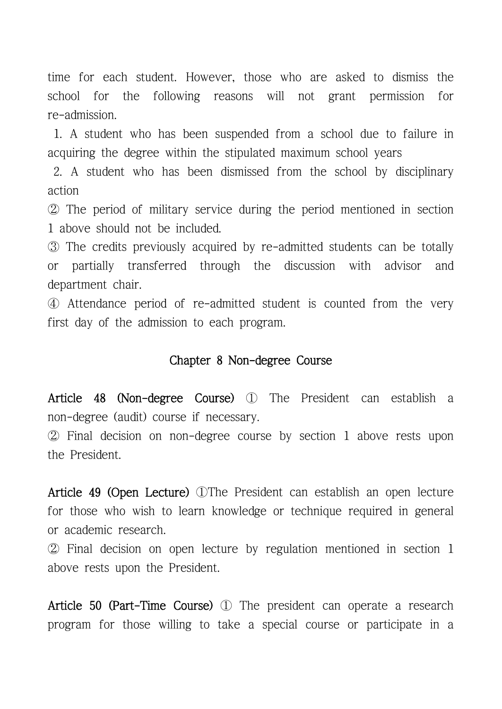time for each student. However, those who are asked to dismiss the school for the following reasons will not grant permission for re-admission.

1. A student who has been suspended from a school due to failure in acquiring the degree within the stipulated maximum school years

2. A student who has been dismissed from the school by disciplinary action

② The period of military service during the period mentioned in section 1 above should not be included.

③ The credits previously acquired by re-admitted students can be totally or partially transferred through the discussion with advisor and department chair.

④ Attendance period of re-admitted student is counted from the very first day of the admission to each program.

#### Chapter 8 Non-degree Course

Article 48 (Non-degree Course) ① The President can establish a non-degree (audit) course if necessary.

② Final decision on non-degree course by section 1 above rests upon the President.

Article 49 (Open Lecture) ①The President can establish an open lecture for those who wish to learn knowledge or technique required in general or academic research.

② Final decision on open lecture by regulation mentioned in section 1 above rests upon the President.

Article 50 (Part-Time Course) ① The president can operate a research program for those willing to take a special course or participate in a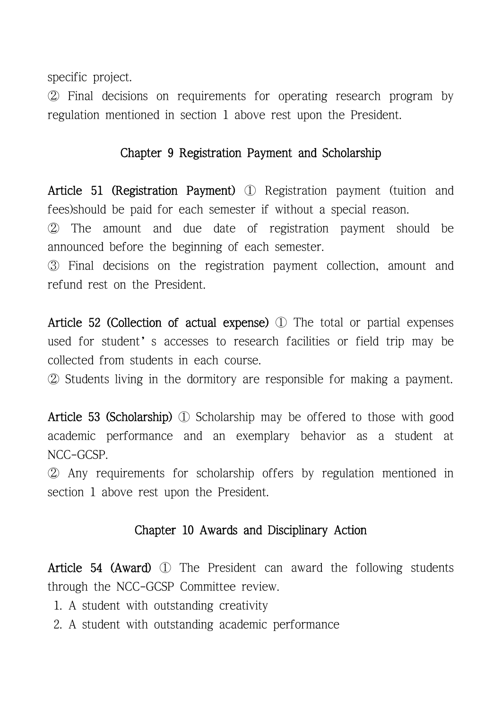specific project.

② Final decisions on requirements for operating research program by regulation mentioned in section 1 above rest upon the President.

## Chapter 9 Registration Payment and Scholarship

Article 51 (Registration Payment) ① Registration payment (tuition and fees)should be paid for each semester if without a special reason. ② The amount and due date of registration payment should be announced before the beginning of each semester.

③ Final decisions on the registration payment collection, amount and refund rest on the President.

Article 52 (Collection of actual expense) ① The total or partial expenses used for student's accesses to research facilities or field trip may be collected from students in each course.

② Students living in the dormitory are responsible for making a payment.

Article 53 (Scholarship) ① Scholarship may be offered to those with good academic performance and an exemplary behavior as a student at NCC-GCSP.

② Any requirements for scholarship offers by regulation mentioned in section 1 above rest upon the President.

# Chapter 10 Awards and Disciplinary Action

Article 54 (Award) ① The President can award the following students through the NCC-GCSP Committee review.

- 1. A student with outstanding creativity
- 2. A student with outstanding academic performance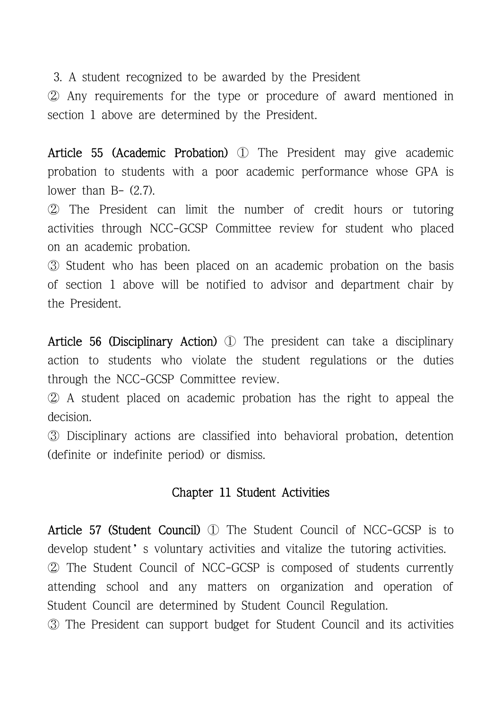3. A student recognized to be awarded by the President

② Any requirements for the type or procedure of award mentioned in section 1 above are determined by the President.

Article 55 (Academic Probation) ① The President may give academic probation to students with a poor academic performance whose GPA is lower than  $B (2.7)$ .

② The President can limit the number of credit hours or tutoring activities through NCC-GCSP Committee review for student who placed on an academic probation.

③ Student who has been placed on an academic probation on the basis of section 1 above will be notified to advisor and department chair by the President.

Article 56 (Disciplinary Action) ① The president can take a disciplinary action to students who violate the student regulations or the duties through the NCC-GCSP Committee review.

② A student placed on academic probation has the right to appeal the decision.

③ Disciplinary actions are classified into behavioral probation, detention (definite or indefinite period) or dismiss.

### Chapter 11 Student Activities

Article 57 (Student Council) ① The Student Council of NCC-GCSP is to develop student's voluntary activities and vitalize the tutoring activities. ② The Student Council of NCC-GCSP is composed of students currently attending school and any matters on organization and operation of Student Council are determined by Student Council Regulation.

③ The President can support budget for Student Council and its activities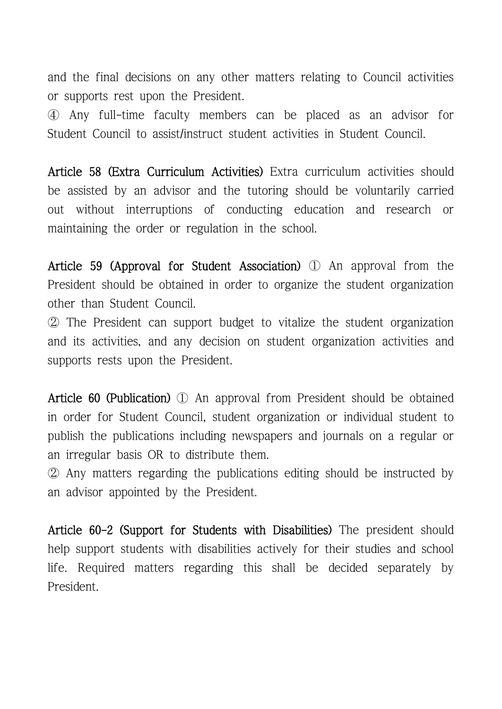and the final decisions on any other matters relating to Council activities or supports rest upon the President.

④ Any full-time faculty members can be placed as an advisor for Student Council to assist/instruct student activities in Student Council.

Article 58 (Extra Curriculum Activities) Extra curriculum activities should be assisted by an advisor and the tutoring should be voluntarily carried out without interruptions of conducting education and research or maintaining the order or regulation in the school.

Article 59 (Approval for Student Association) ① An approval from the President should be obtained in order to organize the student organization other than Student Council.

② The President can support budget to vitalize the student organization and its activities, and any decision on student organization activities and supports rests upon the President.

Article 60 (Publication) ① An approval from President should be obtained in order for Student Council, student organization or individual student to publish the publications including newspapers and journals on a regular or an irregular basis OR to distribute them.

② Any matters regarding the publications editing should be instructed by an advisor appointed by the President.

Article 60-2 (Support for Students with Disabilities) The president should help support students with disabilities actively for their studies and school life. Required matters regarding this shall be decided separately by President.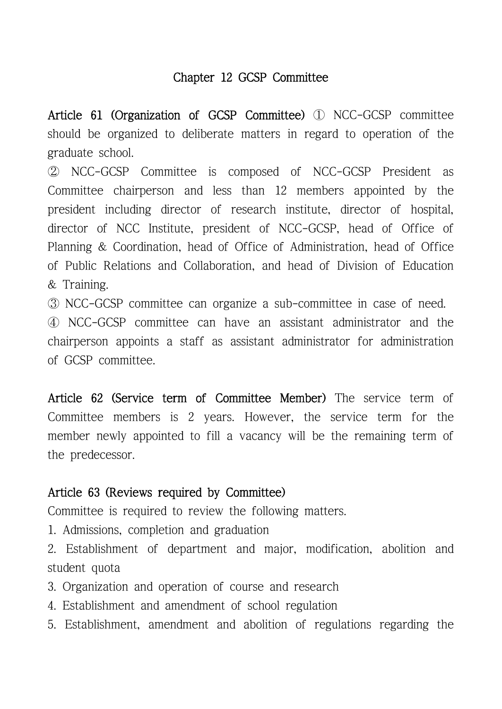# Chapter 12 GCSP Committee

Article 61 (Organization of GCSP Committee) ① NCC-GCSP committee should be organized to deliberate matters in regard to operation of the graduate school.

② NCC-GCSP Committee is composed of NCC-GCSP President as Committee chairperson and less than 12 members appointed by the president including director of research institute, director of hospital, director of NCC Institute, president of NCC-GCSP, head of Office of Planning & Coordination, head of Office of Administration, head of Office of Public Relations and Collaboration, and head of Division of Education & Training.

③ NCC-GCSP committee can organize a sub-committee in case of need.

④ NCC-GCSP committee can have an assistant administrator and the chairperson appoints a staff as assistant administrator for administration of GCSP committee.

Article 62 (Service term of Committee Member) The service term of Committee members is 2 years. However, the service term for the member newly appointed to fill a vacancy will be the remaining term of the predecessor.

# Article 63 (Reviews required by Committee)

Committee is required to review the following matters.

- 1. Admissions, completion and graduation
- 2. Establishment of department and major, modification, abolition and student quota
- 3. Organization and operation of course and research
- 4. Establishment and amendment of school regulation
- 5. Establishment, amendment and abolition of regulations regarding the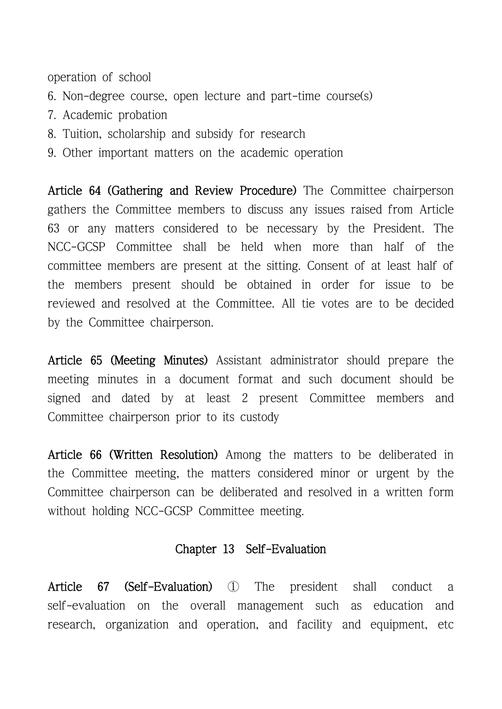operation of school

- 6. Non-degree course, open lecture and part-time course(s)
- 7. Academic probation
- 8. Tuition, scholarship and subsidy for research
- 9. Other important matters on the academic operation

Article 64 (Gathering and Review Procedure) The Committee chairperson gathers the Committee members to discuss any issues raised from Article 63 or any matters considered to be necessary by the President. The NCC-GCSP Committee shall be held when more than half of the committee members are present at the sitting. Consent of at least half of the members present should be obtained in order for issue to be reviewed and resolved at the Committee. All tie votes are to be decided by the Committee chairperson.

Article 65 (Meeting Minutes) Assistant administrator should prepare the meeting minutes in a document format and such document should be signed and dated by at least 2 present Committee members and Committee chairperson prior to its custody

Article 66 (Written Resolution) Among the matters to be deliberated in the Committee meeting, the matters considered minor or urgent by the Committee chairperson can be deliberated and resolved in a written form without holding NCC-GCSP Committee meeting.

#### Chapter 13 Self-Evaluation

Article 67 (Self-Evaluation) ① The president shall conduct a self-evaluation on the overall management such as education and research, organization and operation, and facility and equipment, etc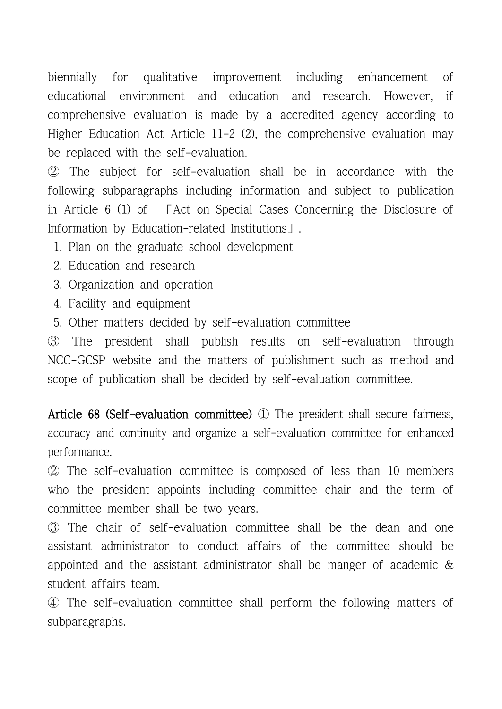biennially for qualitative improvement including enhancement of educational environment and education and research. However, if comprehensive evaluation is made by a accredited agency according to Higher Education Act Article 11-2 (2), the comprehensive evaluation may be replaced with the self-evaluation.

② The subject for self-evaluation shall be in accordance with the following subparagraphs including information and subject to publication in Article 6 (1) of 「Act on Special Cases Concerning the Disclosure of Information by Education-related Institutions」.

1. Plan on the graduate school development

- 2. Education and research
- 3. Organization and operation
- 4. Facility and equipment
- 5. Other matters decided by self-evaluation committee

③ The president shall publish results on self-evaluation through NCC-GCSP website and the matters of publishment such as method and scope of publication shall be decided by self-evaluation committee.

Article 68 (Self-evaluation committee) ① The president shall secure fairness, accuracy and continuity and organize a self-evaluation committee for enhanced performance.

② The self-evaluation committee is composed of less than 10 members who the president appoints including committee chair and the term of committee member shall be two years.

③ The chair of self-evaluation committee shall be the dean and one assistant administrator to conduct affairs of the committee should be appointed and the assistant administrator shall be manger of academic & student affairs team.

④ The self-evaluation committee shall perform the following matters of subparagraphs.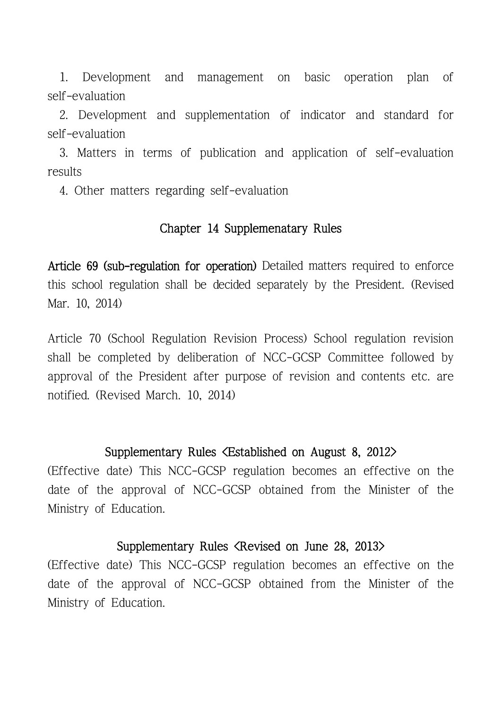1. Development and management on basic operation plan of self-evaluation

 2. Development and supplementation of indicator and standard for self-evaluation

 3. Matters in terms of publication and application of self-evaluation results 4. Other matters regarding self-evaluation

### Chapter 14 Supplemenatary Rules

Article 69 (sub-regulation for operation) Detailed matters required to enforce this school regulation shall be decided separately by the President. (Revised Mar. 10, 2014)

Article 70 (School Regulation Revision Process) School regulation revision shall be completed by deliberation of NCC-GCSP Committee followed by approval of the President after purpose of revision and contents etc. are notified. (Revised March. 10, 2014)

#### Supplementary Rules <Established on August 8, 2012>

(Effective date) This NCC-GCSP regulation becomes an effective on the date of the approval of NCC-GCSP obtained from the Minister of the Ministry of Education.

#### Supplementary Rules <Revised on June 28, 2013>

(Effective date) This NCC-GCSP regulation becomes an effective on the date of the approval of NCC-GCSP obtained from the Minister of the Ministry of Education.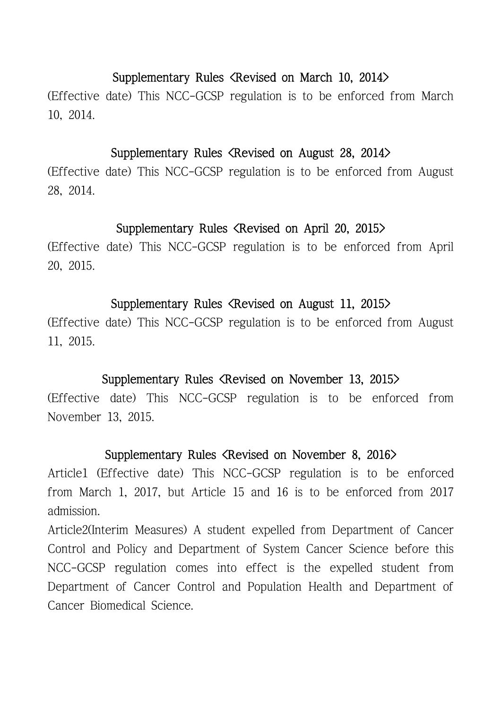### Supplementary Rules <Revised on March 10, 2014>

(Effective date) This NCC-GCSP regulation is to be enforced from March 10, 2014.

#### Supplementary Rules <Revised on August 28, 2014>

(Effective date) This NCC-GCSP regulation is to be enforced from August 28, 2014.

### Supplementary Rules <Revised on April 20, 2015>

(Effective date) This NCC-GCSP regulation is to be enforced from April 20, 2015.

### Supplementary Rules <Revised on August 11, 2015>

(Effective date) This NCC-GCSP regulation is to be enforced from August 11, 2015.

### Supplementary Rules <Revised on November 13, 2015>

(Effective date) This NCC-GCSP regulation is to be enforced from November 13, 2015.

### Supplementary Rules <Revised on November 8, 2016>

Article1 (Effective date) This NCC-GCSP regulation is to be enforced from March 1, 2017, but Article 15 and 16 is to be enforced from 2017 admission.

Article2(Interim Measures) A student expelled from Department of Cancer Control and Policy and Department of System Cancer Science before this NCC-GCSP regulation comes into effect is the expelled student from Department of Cancer Control and Population Health and Department of Cancer Biomedical Science.